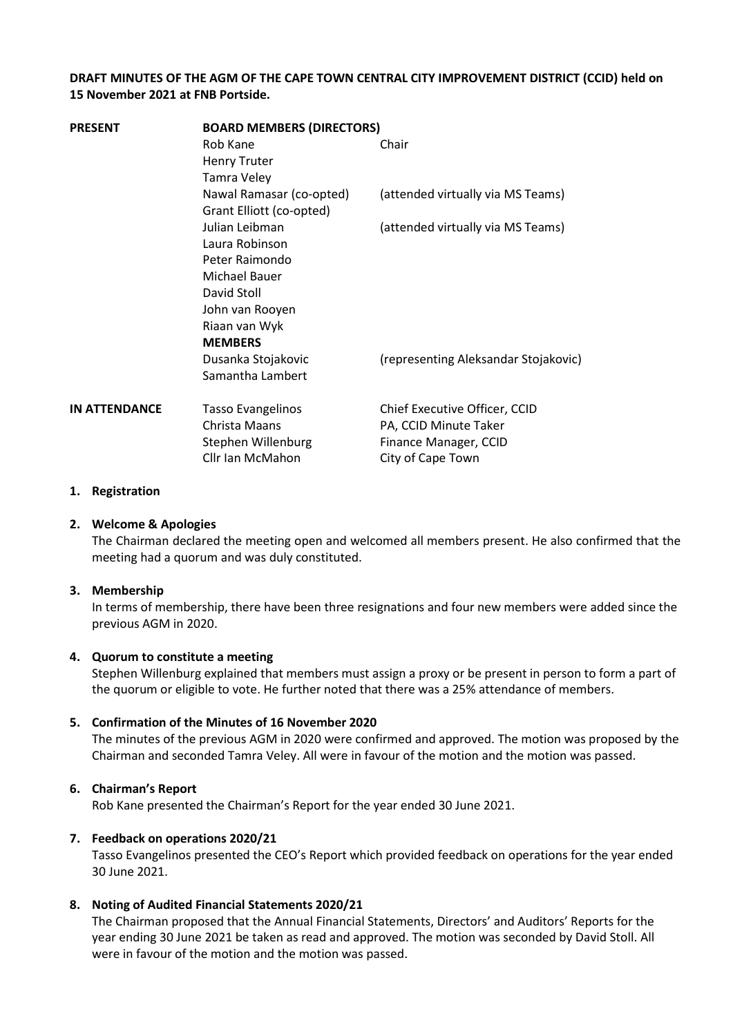### **DRAFT MINUTES OF THE AGM OF THE CAPE TOWN CENTRAL CITY IMPROVEMENT DISTRICT (CCID) held on 15 November 2021 at FNB Portside.**

| <b>PRESENT</b>       | <b>BOARD MEMBERS (DIRECTORS)</b> |                                      |
|----------------------|----------------------------------|--------------------------------------|
|                      | Rob Kane                         | Chair                                |
|                      | <b>Henry Truter</b>              |                                      |
|                      | <b>Tamra Veley</b>               |                                      |
|                      | Nawal Ramasar (co-opted)         | (attended virtually via MS Teams)    |
|                      | Grant Elliott (co-opted)         |                                      |
|                      | Julian Leibman                   | (attended virtually via MS Teams)    |
|                      | Laura Robinson                   |                                      |
|                      | Peter Raimondo                   |                                      |
|                      | Michael Bauer                    |                                      |
|                      | David Stoll                      |                                      |
|                      | John van Rooyen                  |                                      |
|                      | Riaan van Wyk                    |                                      |
|                      | <b>MEMBERS</b>                   |                                      |
|                      | Dusanka Stojakovic               | (representing Aleksandar Stojakovic) |
|                      | Samantha Lambert                 |                                      |
| <b>IN ATTENDANCE</b> | <b>Tasso Evangelinos</b>         | Chief Executive Officer, CCID        |
|                      | Christa Maans                    | PA, CCID Minute Taker                |
|                      | Stephen Willenburg               | Finance Manager, CCID                |
|                      | Cllr Ian McMahon                 | City of Cape Town                    |
|                      |                                  |                                      |

### **1. Registration**

#### **2. Welcome & Apologies**

The Chairman declared the meeting open and welcomed all members present. He also confirmed that the meeting had a quorum and was duly constituted.

#### **3. Membership**

In terms of membership, there have been three resignations and four new members were added since the previous AGM in 2020.

### **4. Quorum to constitute a meeting**

Stephen Willenburg explained that members must assign a proxy or be present in person to form a part of the quorum or eligible to vote. He further noted that there was a 25% attendance of members.

#### **5. Confirmation of the Minutes of 16 November 2020**

The minutes of the previous AGM in 2020 were confirmed and approved. The motion was proposed by the Chairman and seconded Tamra Veley. All were in favour of the motion and the motion was passed.

### **6. Chairman's Report**

Rob Kane presented the Chairman's Report for the year ended 30 June 2021.

#### **7. Feedback on operations 2020/21**

Tasso Evangelinos presented the CEO's Report which provided feedback on operations for the year ended 30 June 2021.

### **8. Noting of Audited Financial Statements 2020/21**

The Chairman proposed that the Annual Financial Statements, Directors' and Auditors' Reports for the year ending 30 June 2021 be taken as read and approved. The motion was seconded by David Stoll. All were in favour of the motion and the motion was passed.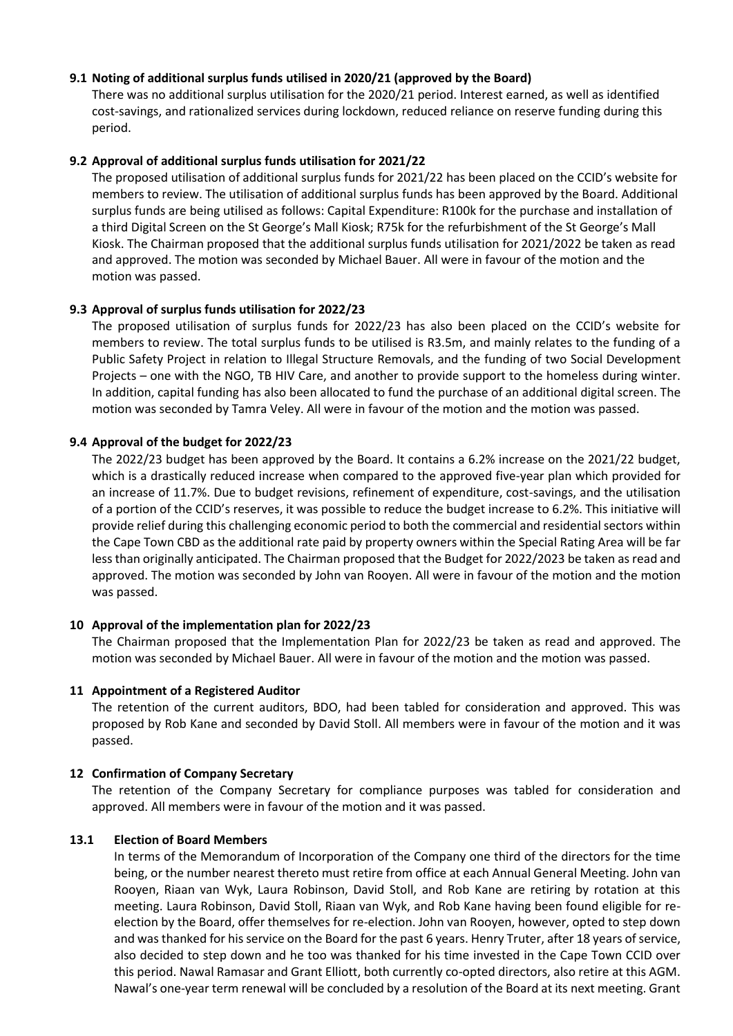### **9.1 Noting of additional surplus funds utilised in 2020/21 (approved by the Board)**

There was no additional surplus utilisation for the 2020/21 period. Interest earned, as well as identified cost-savings, and rationalized services during lockdown, reduced reliance on reserve funding during this period.

### **9.2 Approval of additional surplus funds utilisation for 2021/22**

The proposed utilisation of additional surplus funds for 2021/22 has been placed on the CCID's website for members to review. The utilisation of additional surplus funds has been approved by the Board. Additional surplus funds are being utilised as follows: Capital Expenditure: R100k for the purchase and installation of a third Digital Screen on the St George's Mall Kiosk; R75k for the refurbishment of the St George's Mall Kiosk. The Chairman proposed that the additional surplus funds utilisation for 2021/2022 be taken as read and approved. The motion was seconded by Michael Bauer. All were in favour of the motion and the motion was passed.

## **9.3 Approval of surplus funds utilisation for 2022/23**

The proposed utilisation of surplus funds for 2022/23 has also been placed on the CCID's website for members to review. The total surplus funds to be utilised is R3.5m, and mainly relates to the funding of a Public Safety Project in relation to Illegal Structure Removals, and the funding of two Social Development Projects – one with the NGO, TB HIV Care, and another to provide support to the homeless during winter. In addition, capital funding has also been allocated to fund the purchase of an additional digital screen. The motion was seconded by Tamra Veley. All were in favour of the motion and the motion was passed.

## **9.4 Approval of the budget for 2022/23**

The 2022/23 budget has been approved by the Board. It contains a 6.2% increase on the 2021/22 budget, which is a drastically reduced increase when compared to the approved five-year plan which provided for an increase of 11.7%. Due to budget revisions, refinement of expenditure, cost-savings, and the utilisation of a portion of the CCID's reserves, it was possible to reduce the budget increase to 6.2%. This initiative will provide relief during this challenging economic period to both the commercial and residential sectors within the Cape Town CBD as the additional rate paid by property owners within the Special Rating Area will be far less than originally anticipated. The Chairman proposed that the Budget for 2022/2023 be taken as read and approved. The motion was seconded by John van Rooyen. All were in favour of the motion and the motion was passed.

### **10 Approval of the implementation plan for 2022/23**

The Chairman proposed that the Implementation Plan for 2022/23 be taken as read and approved. The motion was seconded by Michael Bauer. All were in favour of the motion and the motion was passed.

### **11 Appointment of a Registered Auditor**

The retention of the current auditors, BDO, had been tabled for consideration and approved. This was proposed by Rob Kane and seconded by David Stoll. All members were in favour of the motion and it was passed.

# **12 Confirmation of Company Secretary**

The retention of the Company Secretary for compliance purposes was tabled for consideration and approved. All members were in favour of the motion and it was passed.

### **13.1 Election of Board Members**

In terms of the Memorandum of Incorporation of the Company one third of the directors for the time being, or the number nearest thereto must retire from office at each Annual General Meeting. John van Rooyen, Riaan van Wyk, Laura Robinson, David Stoll, and Rob Kane are retiring by rotation at this meeting. Laura Robinson, David Stoll, Riaan van Wyk, and Rob Kane having been found eligible for reelection by the Board, offer themselves for re-election. John van Rooyen, however, opted to step down and was thanked for his service on the Board for the past 6 years. Henry Truter, after 18 years of service, also decided to step down and he too was thanked for his time invested in the Cape Town CCID over this period. Nawal Ramasar and Grant Elliott, both currently co-opted directors, also retire at this AGM. Nawal's one-year term renewal will be concluded by a resolution of the Board at its next meeting. Grant